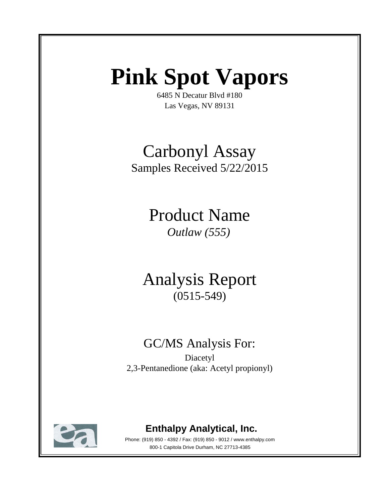# **Pink Spot Vapors**

6485 N Decatur Blvd #180 Las Vegas, NV 89131

# Carbonyl Assay Samples Received 5/22/2015

Product Name *Outlaw (555)*

Analysis Report (0515-549)

## GC/MS Analysis For:

Diacetyl 2,3-Pentanedione (aka: Acetyl propionyl)



## **Enthalpy Analytical, Inc.**

Phone: (919) 850 - 4392 / Fax: (919) 850 - 9012 / www.enthalpy.com 800-1 Capitola Drive Durham, NC 27713-4385